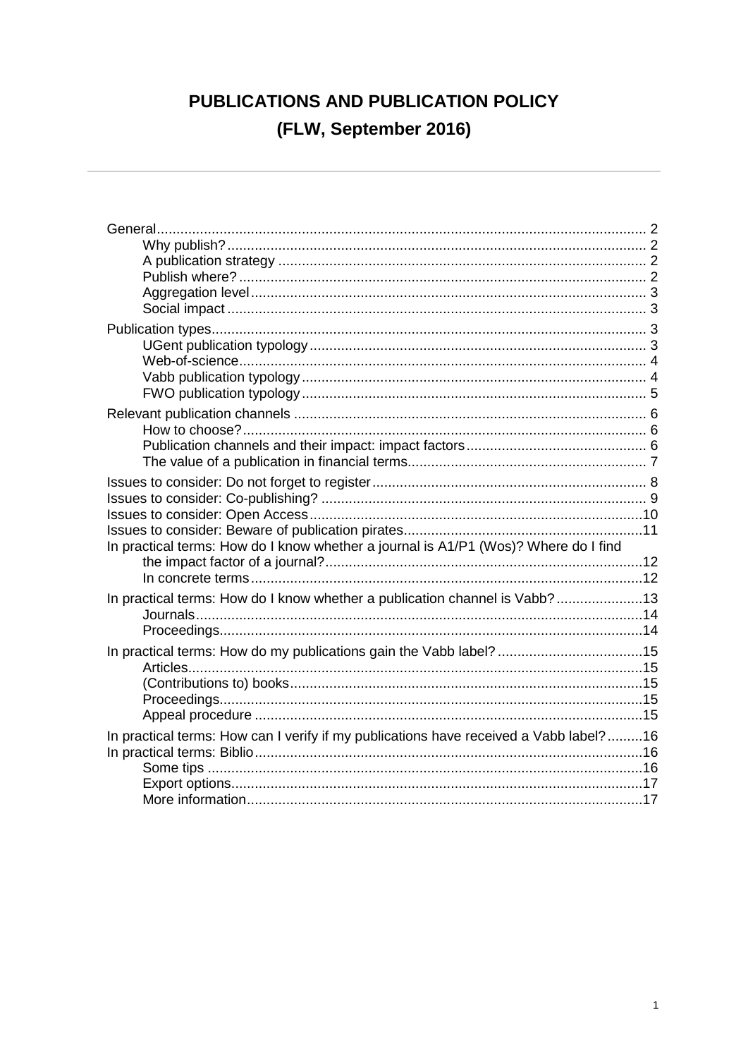# PUBLICATIONS AND PUBLICATION POLICY (FLW, September 2016)

| In practical terms: How do I know whether a journal is A1/P1 (Wos)? Where do I find   |  |
|---------------------------------------------------------------------------------------|--|
| In practical terms: How do I know whether a publication channel is Vabb?13            |  |
| In practical terms: How do my publications gain the Vabb label? 15                    |  |
| In practical terms: How can I verify if my publications have received a Vabb label?16 |  |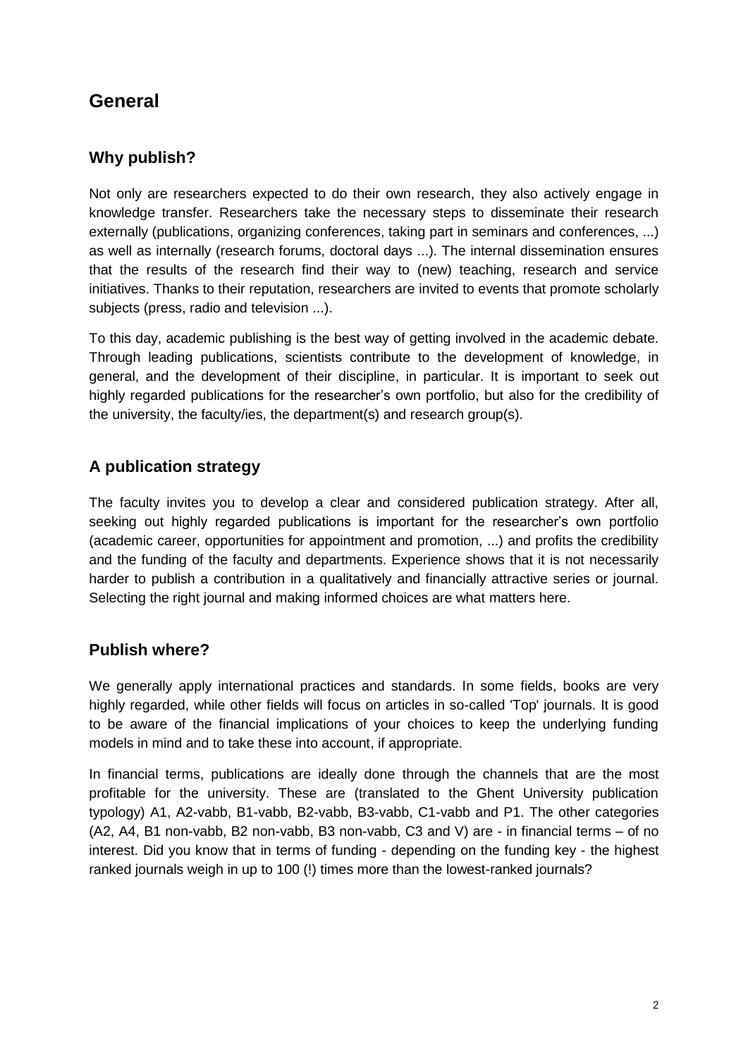# <span id="page-1-0"></span>**General**

## <span id="page-1-1"></span>**Why publish?**

Not only are researchers expected to do their own research, they also actively engage in knowledge transfer. Researchers take the necessary steps to disseminate their research externally (publications, organizing conferences, taking part in seminars and conferences, ...) as well as internally (research forums, doctoral days ...). The internal dissemination ensures that the results of the research find their way to (new) teaching, research and service initiatives. Thanks to their reputation, researchers are invited to events that promote scholarly subjects (press, radio and television ...).

To this day, academic publishing is the best way of getting involved in the academic debate. Through leading publications, scientists contribute to the development of knowledge, in general, and the development of their discipline, in particular. It is important to seek out highly regarded publications for the researcher's own portfolio, but also for the credibility of the university, the faculty/ies, the department(s) and research group(s).

## <span id="page-1-2"></span>**A publication strategy**

The faculty invites you to develop a clear and considered publication strategy. After all, seeking out highly regarded publications is important for the researcher's own portfolio (academic career, opportunities for appointment and promotion, ...) and profits the credibility and the funding of the faculty and departments. Experience shows that it is not necessarily harder to publish a contribution in a qualitatively and financially attractive series or journal. Selecting the right journal and making informed choices are what matters here.

## <span id="page-1-3"></span>**Publish where?**

We generally apply international practices and standards. In some fields, books are very highly regarded, while other fields will focus on articles in so-called 'Top' journals. It is good to be aware of the financial implications of your choices to keep the underlying funding models in mind and to take these into account, if appropriate.

In financial terms, publications are ideally done through the channels that are the most profitable for the university. These are (translated to the Ghent University publication typology) A1, A2-vabb, B1-vabb, B2-vabb, B3-vabb, C1-vabb and P1. The other categories (A2, A4, B1 non-vabb, B2 non-vabb, B3 non-vabb, C3 and V) are - in financial terms – of no interest. Did you know that in terms of funding - depending on the funding key - the highest ranked journals weigh in up to 100 (!) times more than the lowest-ranked journals?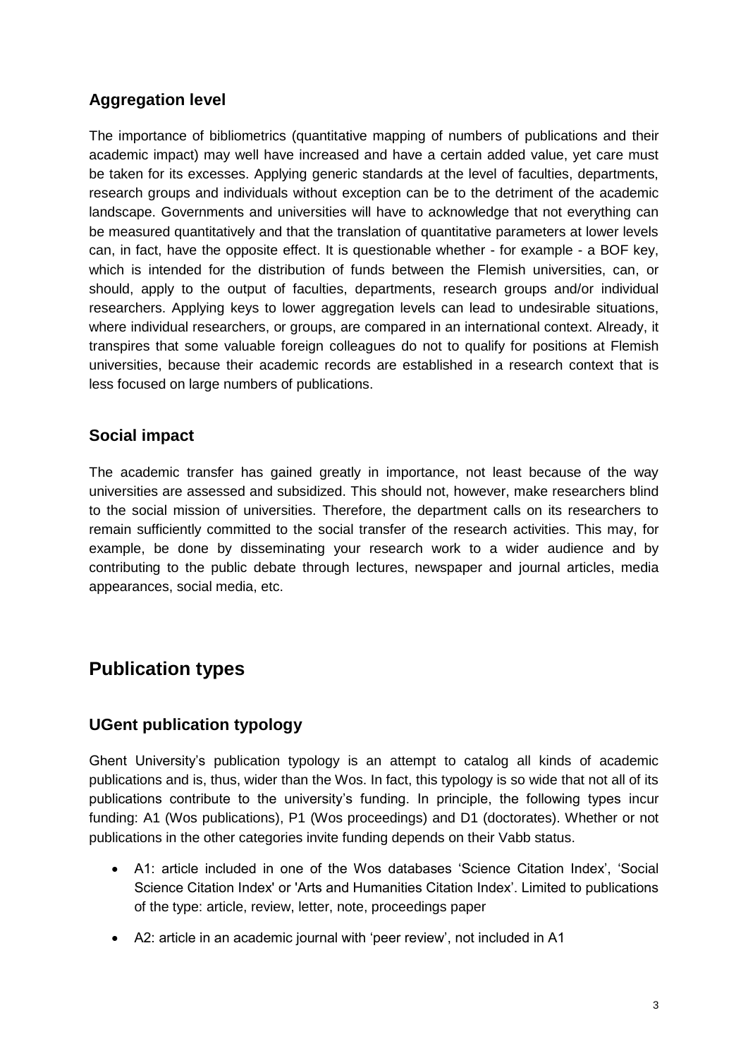## <span id="page-2-0"></span>**Aggregation level**

The importance of bibliometrics (quantitative mapping of numbers of publications and their academic impact) may well have increased and have a certain added value, yet care must be taken for its excesses. Applying generic standards at the level of faculties, departments, research groups and individuals without exception can be to the detriment of the academic landscape. Governments and universities will have to acknowledge that not everything can be measured quantitatively and that the translation of quantitative parameters at lower levels can, in fact, have the opposite effect. It is questionable whether - for example - a BOF key, which is intended for the distribution of funds between the Flemish universities, can, or should, apply to the output of faculties, departments, research groups and/or individual researchers. Applying keys to lower aggregation levels can lead to undesirable situations, where individual researchers, or groups, are compared in an international context. Already, it transpires that some valuable foreign colleagues do not to qualify for positions at Flemish universities, because their academic records are established in a research context that is less focused on large numbers of publications.

## <span id="page-2-1"></span>**Social impact**

The academic transfer has gained greatly in importance, not least because of the way universities are assessed and subsidized. This should not, however, make researchers blind to the social mission of universities. Therefore, the department calls on its researchers to remain sufficiently committed to the social transfer of the research activities. This may, for example, be done by disseminating your research work to a wider audience and by contributing to the public debate through lectures, newspaper and journal articles, media appearances, social media, etc.

# <span id="page-2-2"></span>**Publication types**

## <span id="page-2-3"></span>**UGent publication typology**

Ghent University's publication typology is an attempt to catalog all kinds of academic publications and is, thus, wider than the Wos. In fact, this typology is so wide that not all of its publications contribute to the university's funding. In principle, the following types incur funding: A1 (Wos publications), P1 (Wos proceedings) and D1 (doctorates). Whether or not publications in the other categories invite funding depends on their Vabb status.

- A1: article included in one of the Wos databases 'Science Citation Index', 'Social Science Citation Index' or 'Arts and Humanities Citation Index'. Limited to publications of the type: article, review, letter, note, proceedings paper
- A2: article in an academic journal with 'peer review', not included in A1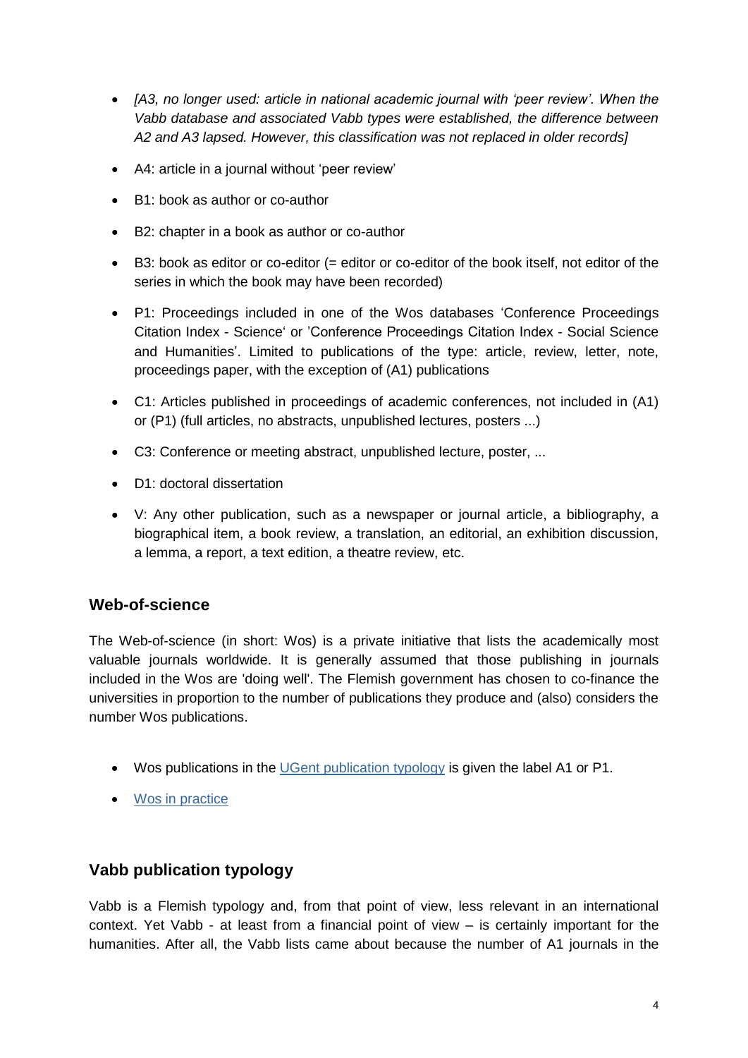- [A3, no longer used: article in national academic journal with 'peer review'. When the *Vabb database and associated Vabb types were established, the difference between A2 and A3 lapsed. However, this classification was not replaced in older records]*
- A4: article in a journal without 'peer review'
- B1: book as author or co-author
- B2: chapter in a book as author or co-author
- B3: book as editor or co-editor (= editor or co-editor of the book itself, not editor of the series in which the book may have been recorded)
- P1: Proceedings included in one of the Wos databases 'Conference Proceedings Citation Index - Science' or 'Conference Proceedings Citation Index - Social Science and Humanities'. Limited to publications of the type: article, review, letter, note, proceedings paper, with the exception of (A1) publications
- C1: Articles published in proceedings of academic conferences, not included in (A1) or (P1) (full articles, no abstracts, unpublished lectures, posters ...)
- C3: Conference or meeting abstract, unpublished lecture, poster, ...
- D1: doctoral dissertation
- V: Any other publication, such as a newspaper or journal article, a bibliography, a biographical item, a book review, a translation, an editorial, an exhibition discussion, a lemma, a report, a text edition, a theatre review, etc.

#### <span id="page-3-0"></span>**Web-of-science**

The Web-of-science (in short: Wos) is a private initiative that lists the academically most valuable journals worldwide. It is generally assumed that those publishing in journals included in the Wos are 'doing well'. The Flemish government has chosen to co-finance the universities in proportion to the number of publications they produce and (also) considers the number Wos publications.

- Wos publications in the [UGent publication typology](#page-2-3) is given the label A1 or P1.
- [Wos in practice](#page-11-0)

## <span id="page-3-1"></span>**Vabb publication typology**

Vabb is a Flemish typology and, from that point of view, less relevant in an international context. Yet Vabb - at least from a financial point of view – is certainly important for the humanities. After all, the Vabb lists came about because the number of A1 journals in the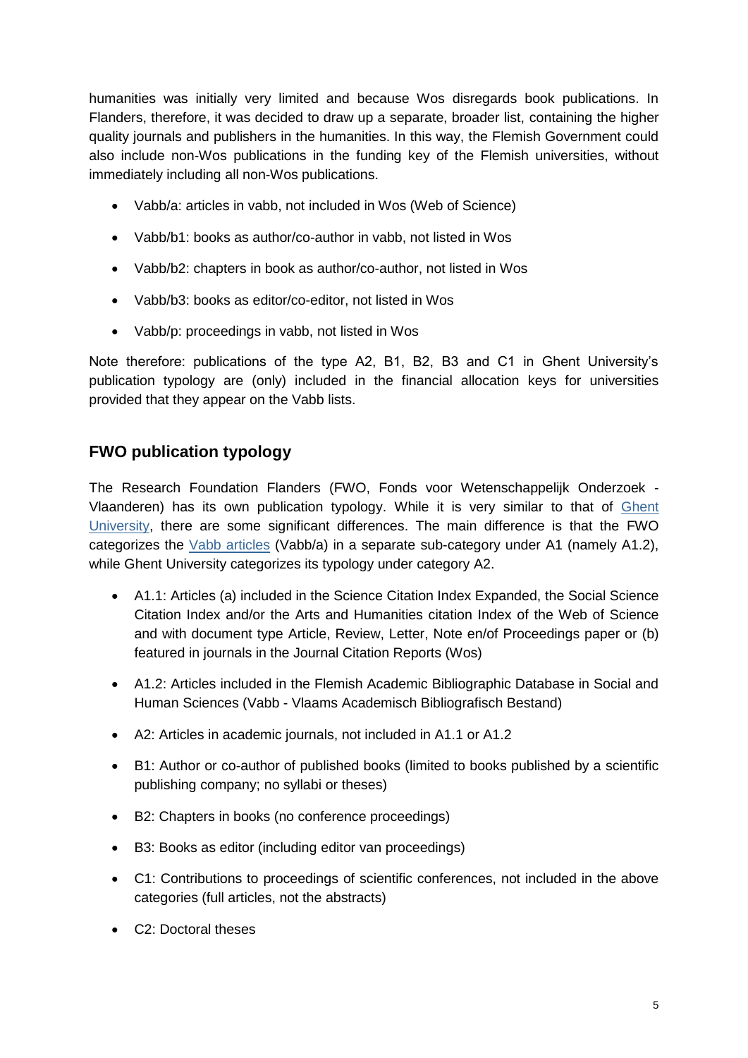humanities was initially very limited and because Wos disregards book publications. In Flanders, therefore, it was decided to draw up a separate, broader list, containing the higher quality journals and publishers in the humanities. In this way, the Flemish Government could also include non-Wos publications in the funding key of the Flemish universities, without immediately including all non-Wos publications.

- Vabb/a: articles in vabb, not included in Wos (Web of Science)
- Vabb/b1: books as author/co-author in vabb, not listed in Wos
- Vabb/b2: chapters in book as author/co-author, not listed in Wos
- Vabb/b3: books as editor/co-editor, not listed in Wos
- Vabb/p: proceedings in vabb, not listed in Wos

Note therefore: publications of the type A2, B1, B2, B3 and C1 in Ghent University's publication typology are (only) included in the financial allocation keys for universities provided that they appear on the Vabb lists.

## <span id="page-4-0"></span>**FWO publication typology**

The Research Foundation Flanders (FWO, Fonds voor Wetenschappelijk Onderzoek - Vlaanderen) has its own publication typology. While it is very similar to that of [Ghent](#page-2-3) University, there are some significant differences. The main difference is that the FWO categorizes the [Vabb articles](#page-3-1) (Vabb/a) in a separate sub-category under A1 (namely A1.2), while Ghent University categorizes its typology under category A2.

- A1.1: Articles (a) included in the Science Citation Index Expanded, the Social Science Citation Index and/or the Arts and Humanities citation Index of the Web of Science and with document type Article, Review, Letter, Note en/of Proceedings paper or (b) featured in journals in the Journal Citation Reports (Wos)
- A1.2: Articles included in the Flemish Academic Bibliographic Database in Social and Human Sciences (Vabb - Vlaams Academisch Bibliografisch Bestand)
- A2: Articles in academic journals, not included in A1.1 or A1.2
- B1: Author or co-author of published books (limited to books published by a scientific publishing company; no syllabi or theses)
- B2: Chapters in books (no conference proceedings)
- B3: Books as editor (including editor van proceedings)
- C1: Contributions to proceedings of scientific conferences, not included in the above categories (full articles, not the abstracts)
- C<sub>2</sub>: Doctoral theses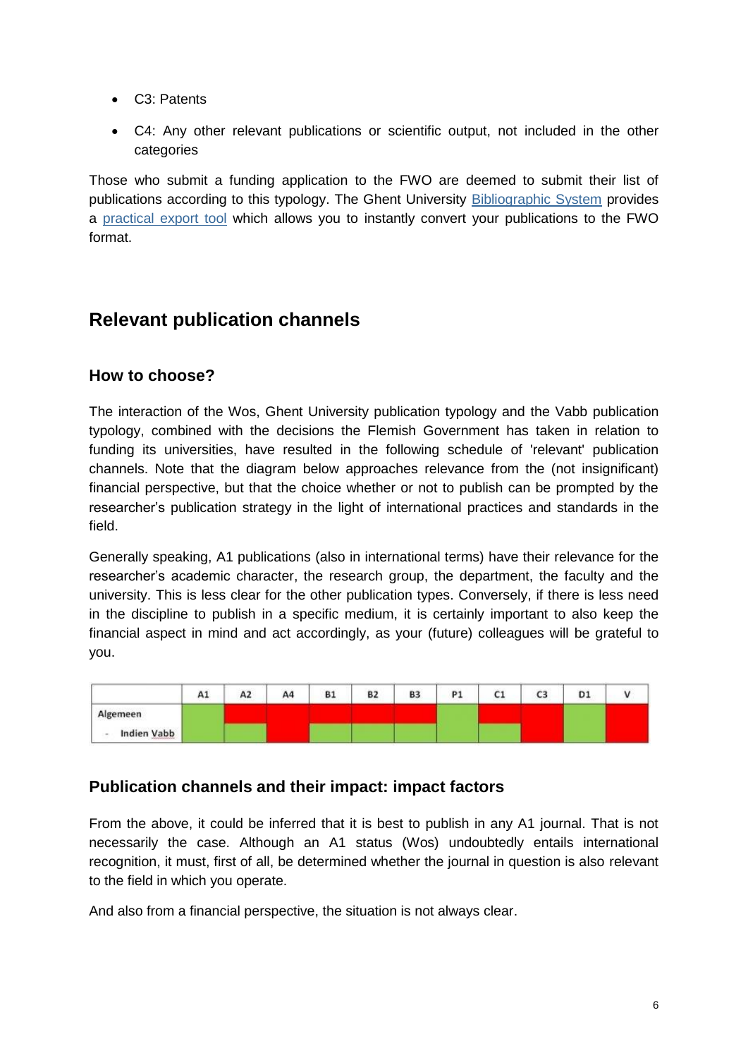- C3: Patents
- C4: Any other relevant publications or scientific output, not included in the other categories

Those who submit a funding application to the FWO are deemed to submit their list of publications according to this typology. The Ghent University [Bibliographic System](#page-15-1) provides a [practical export tool](#page-15-1) which allows you to instantly convert your publications to the FWO format.

## <span id="page-5-0"></span>**Relevant publication channels**

### <span id="page-5-1"></span>**How to choose?**

The interaction of the Wos, Ghent University publication typology and the Vabb publication typology, combined with the decisions the Flemish Government has taken in relation to funding its universities, have resulted in the following schedule of 'relevant' publication channels. Note that the diagram below approaches relevance from the (not insignificant) financial perspective, but that the choice whether or not to publish can be prompted by the researcher's publication strategy in the light of international practices and standards in the field.

Generally speaking, A1 publications (also in international terms) have their relevance for the researcher's academic character, the research group, the department, the faculty and the university. This is less clear for the other publication types. Conversely, if there is less need in the discipline to publish in a specific medium, it is certainly important to also keep the financial aspect in mind and act accordingly, as your (future) colleagues will be grateful to you.



#### <span id="page-5-2"></span>**Publication channels and their impact: impact factors**

From the above, it could be inferred that it is best to publish in any A1 journal. That is not necessarily the case. Although an A1 status (Wos) undoubtedly entails international recognition, it must, first of all, be determined whether the journal in question is also relevant to the field in which you operate.

And also from a financial perspective, the situation is not always clear.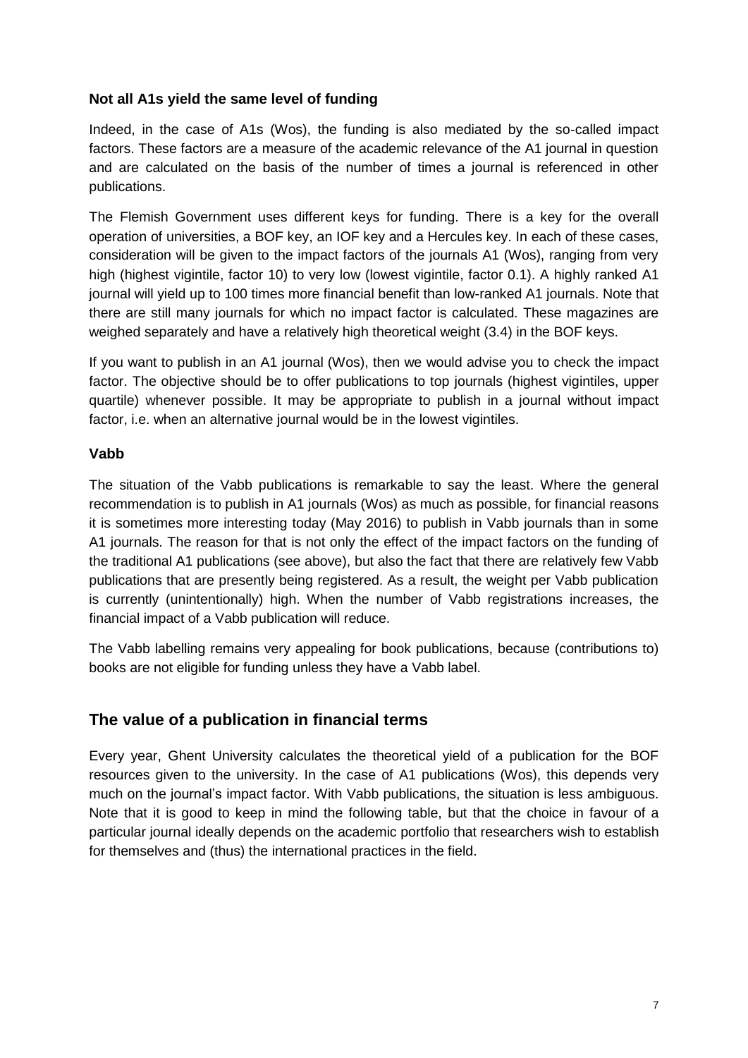#### **Not all A1s yield the same level of funding**

Indeed, in the case of A1s (Wos), the funding is also mediated by the so-called impact factors. These factors are a measure of the academic relevance of the A1 journal in question and are calculated on the basis of the number of times a journal is referenced in other publications.

The Flemish Government uses different keys for funding. There is a key for the overall operation of universities, a BOF key, an IOF key and a Hercules key. In each of these cases, consideration will be given to the impact factors of the journals A1 (Wos), ranging from very high (highest vigintile, factor 10) to very low (lowest vigintile, factor 0.1). A highly ranked A1 journal will yield up to 100 times more financial benefit than low-ranked A1 journals. Note that there are still many journals for which no impact factor is calculated. These magazines are weighed separately and have a relatively high theoretical weight (3.4) in the BOF keys.

If you want to publish in an A1 journal (Wos), then we would advise you to check the impact factor. The objective should be to offer publications to top journals (highest vigintiles, upper quartile) whenever possible. It may be appropriate to publish in a journal without impact factor, i.e. when an alternative journal would be in the lowest vigintiles.

#### **Vabb**

The situation of the Vabb publications is remarkable to say the least. Where the general recommendation is to publish in A1 journals (Wos) as much as possible, for financial reasons it is sometimes more interesting today (May 2016) to publish in Vabb journals than in some A1 journals. The reason for that is not only the effect of the impact factors on the funding of the traditional A1 publications (see above), but also the fact that there are relatively few Vabb publications that are presently being registered. As a result, the weight per Vabb publication is currently (unintentionally) high. When the number of Vabb registrations increases, the financial impact of a Vabb publication will reduce.

The Vabb labelling remains very appealing for book publications, because (contributions to) books are not eligible for funding unless they have a Vabb label.

#### <span id="page-6-0"></span>**The value of a publication in financial terms**

Every year, Ghent University calculates the theoretical yield of a publication for the BOF resources given to the university. In the case of A1 publications (Wos), this depends very much on the journal's impact factor. With Vabb publications, the situation is less ambiguous. Note that it is good to keep in mind the following table, but that the choice in favour of a particular journal ideally depends on the academic portfolio that researchers wish to establish for themselves and (thus) the international practices in the field.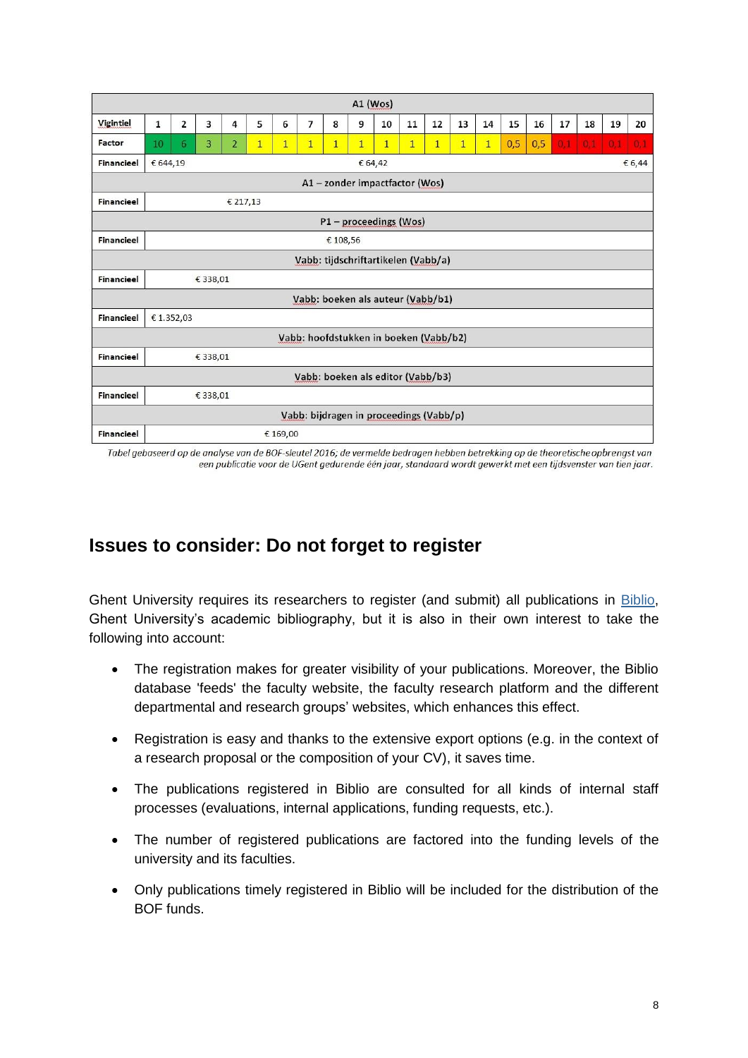| $A1$ (Wos)                              |                               |                |                |                |                |                |                |                |                |              |              |                |              |              |     |     |     |     |     |     |
|-----------------------------------------|-------------------------------|----------------|----------------|----------------|----------------|----------------|----------------|----------------|----------------|--------------|--------------|----------------|--------------|--------------|-----|-----|-----|-----|-----|-----|
| Vigintiel                               | 1                             | $\overline{2}$ | 3              | 4              | 5              | 6              | $\overline{7}$ | 8              | 9              | 10           | 11           | 12             | 13           | 14           | 15  | 16  | 17  | 18  | 19  | 20  |
| Factor                                  | 10                            | 6              | $\overline{3}$ | $\overline{2}$ | $\overline{1}$ | $\overline{1}$ | $\overline{1}$ | $\overline{1}$ | $\overline{1}$ | $\mathbf{1}$ | $\mathbf{1}$ | $\overline{1}$ | $\mathbf{1}$ | $\mathbf{1}$ | 0,5 | 0,5 | 0,1 | 0,1 | 0.1 | 0.1 |
| <b>Financieel</b>                       | € 644,19<br>€ 6,44<br>€ 64,42 |                |                |                |                |                |                |                |                |              |              |                |              |              |     |     |     |     |     |     |
| A1-zonder impactfactor (Wos)            |                               |                |                |                |                |                |                |                |                |              |              |                |              |              |     |     |     |     |     |     |
| <b>Financieel</b>                       | € 217,13                      |                |                |                |                |                |                |                |                |              |              |                |              |              |     |     |     |     |     |     |
| P1 - proceedings (Wos)                  |                               |                |                |                |                |                |                |                |                |              |              |                |              |              |     |     |     |     |     |     |
| <b>Financieel</b>                       | € 108,56                      |                |                |                |                |                |                |                |                |              |              |                |              |              |     |     |     |     |     |     |
| Vabb: tijdschriftartikelen (Vabb/a)     |                               |                |                |                |                |                |                |                |                |              |              |                |              |              |     |     |     |     |     |     |
| <b>Financieel</b>                       | € 338,01                      |                |                |                |                |                |                |                |                |              |              |                |              |              |     |     |     |     |     |     |
| Vabb: boeken als auteur (Vabb/b1)       |                               |                |                |                |                |                |                |                |                |              |              |                |              |              |     |     |     |     |     |     |
| <b>Financieel</b>                       | €1.352,03                     |                |                |                |                |                |                |                |                |              |              |                |              |              |     |     |     |     |     |     |
| Vabb: hoofdstukken in boeken (Vabb/b2)  |                               |                |                |                |                |                |                |                |                |              |              |                |              |              |     |     |     |     |     |     |
| <b>Financieel</b>                       |                               |                | € 338,01       |                |                |                |                |                |                |              |              |                |              |              |     |     |     |     |     |     |
| Vabb: boeken als editor (Vabb/b3)       |                               |                |                |                |                |                |                |                |                |              |              |                |              |              |     |     |     |     |     |     |
| <b>Financieel</b>                       |                               |                | € 338,01       |                |                |                |                |                |                |              |              |                |              |              |     |     |     |     |     |     |
| Vabb: bijdragen in proceedings (Vabb/p) |                               |                |                |                |                |                |                |                |                |              |              |                |              |              |     |     |     |     |     |     |
| <b>Financieel</b>                       |                               |                |                |                |                | € 169,00       |                |                |                |              |              |                |              |              |     |     |     |     |     |     |

<span id="page-7-0"></span>Tabel gebaseerd op de analyse van de BOF-sleutel 2016; de vermelde bedragen hebben betrekking op de theoretische opbrengst van een publicatie voor de UGent gedurende één jaar, standaard wordt gewerkt met een tijdsvenster van tien jaar.

# **Issues to consider: Do not forget to register**

Ghent University requires its researchers to register (and submit) all publications in [Biblio,](http://biblio.ugent.be/) Ghent University's academic bibliography, but it is also in their own interest to take the following into account:

- The registration makes for greater visibility of your publications. Moreover, the Biblio database 'feeds' the faculty website, the faculty research platform and the different departmental and research groups' websites, which enhances this effect.
- Registration is easy and thanks to the extensive export options (e.g. in the context of a research proposal or the composition of your CV), it saves time.
- The publications registered in Biblio are consulted for all kinds of internal staff processes (evaluations, internal applications, funding requests, etc.).
- The number of registered publications are factored into the funding levels of the university and its faculties.
- Only publications timely registered in Biblio will be included for the distribution of the BOF funds.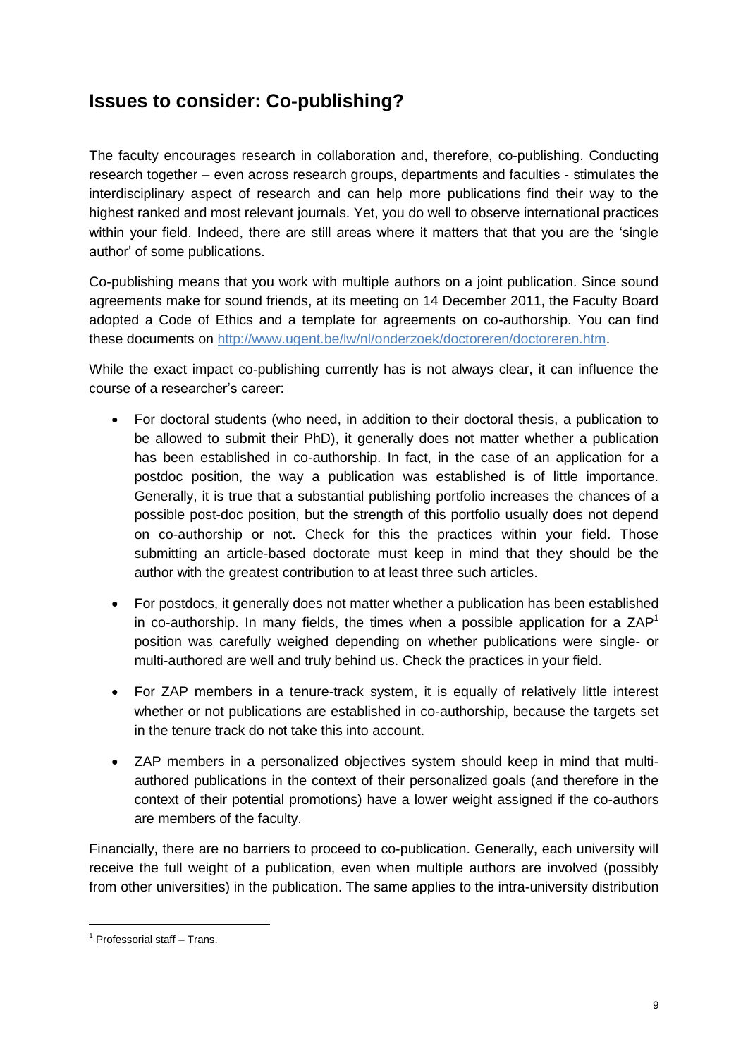# <span id="page-8-0"></span>**Issues to consider: Co-publishing?**

The faculty encourages research in collaboration and, therefore, co-publishing. Conducting research together – even across research groups, departments and faculties - stimulates the interdisciplinary aspect of research and can help more publications find their way to the highest ranked and most relevant journals. Yet, you do well to observe international practices within your field. Indeed, there are still areas where it matters that that you are the 'single author' of some publications.

Co-publishing means that you work with multiple authors on a joint publication. Since sound agreements make for sound friends, at its meeting on 14 December 2011, the Faculty Board adopted a Code of Ethics and a template for agreements on co-authorship. You can find these documents on [http://www.ugent.be/lw/nl/onderzoek/doctoreren/doctoreren.htm.](http://www.ugent.be/lw/nl/onderzoek/doctoreren/doctoreren.htm)

While the exact impact co-publishing currently has is not always clear, it can influence the course of a researcher's career:

- For doctoral students (who need, in addition to their doctoral thesis, a publication to be allowed to submit their PhD), it generally does not matter whether a publication has been established in co-authorship. In fact, in the case of an application for a postdoc position, the way a publication was established is of little importance. Generally, it is true that a substantial publishing portfolio increases the chances of a possible post-doc position, but the strength of this portfolio usually does not depend on co-authorship or not. Check for this the practices within your field. Those submitting an article-based doctorate must keep in mind that they should be the author with the greatest contribution to at least three such articles.
- For postdocs, it generally does not matter whether a publication has been established in co-authorship. In many fields, the times when a possible application for a  $ZAP<sup>1</sup>$ position was carefully weighed depending on whether publications were single- or multi-authored are well and truly behind us. Check the practices in your field.
- For ZAP members in a tenure-track system, it is equally of relatively little interest whether or not publications are established in co-authorship, because the targets set in the tenure track do not take this into account.
- ZAP members in a personalized objectives system should keep in mind that multiauthored publications in the context of their personalized goals (and therefore in the context of their potential promotions) have a lower weight assigned if the co-authors are members of the faculty.

Financially, there are no barriers to proceed to co-publication. Generally, each university will receive the full weight of a publication, even when multiple authors are involved (possibly from other universities) in the publication. The same applies to the intra-university distribution

 $<sup>1</sup>$  Professorial staff – Trans.</sup>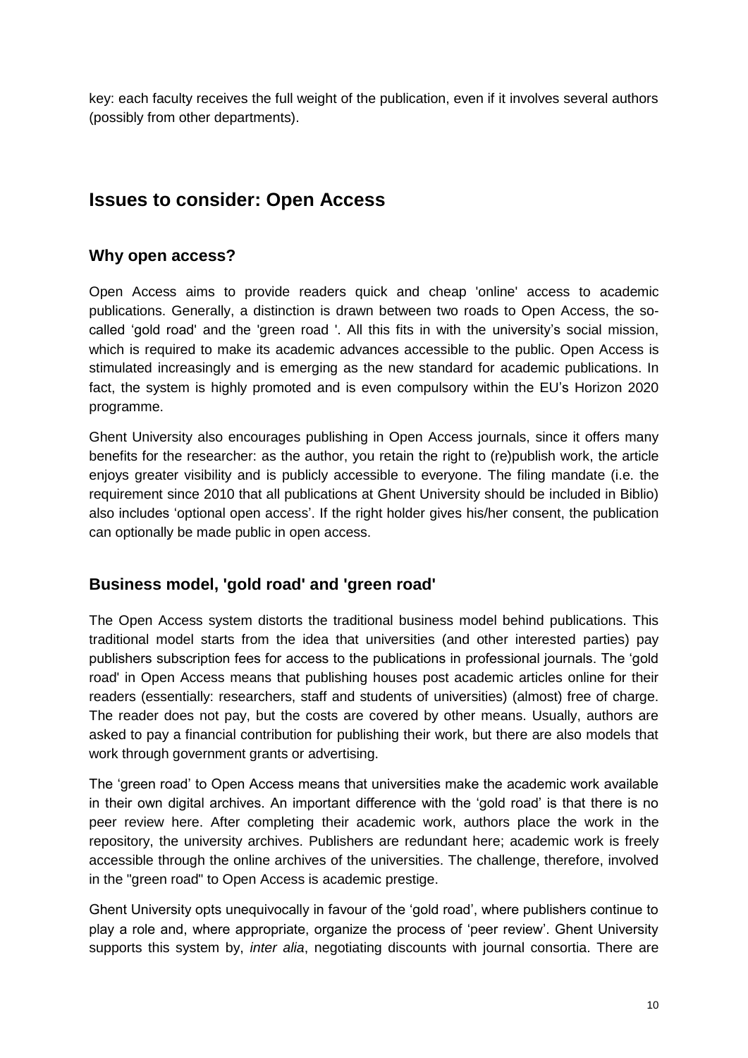<span id="page-9-0"></span>key: each faculty receives the full weight of the publication, even if it involves several authors (possibly from other departments).

## **Issues to consider: Open Access**

#### **Why open access?**

Open Access aims to provide readers quick and cheap 'online' access to academic publications. Generally, a distinction is drawn between two roads to Open Access, the socalled 'gold road' and the 'green road '. All this fits in with the university's social mission, which is required to make its academic advances accessible to the public. Open Access is stimulated increasingly and is emerging as the new standard for academic publications. In fact, the system is highly promoted and is even compulsory within the EU's Horizon 2020 programme.

Ghent University also encourages publishing in Open Access journals, since it offers many benefits for the researcher: as the author, you retain the right to (re)publish work, the article enjoys greater visibility and is publicly accessible to everyone. The filing mandate (i.e. the requirement since 2010 that all publications at Ghent University should be included in Biblio) also includes 'optional open access'. If the right holder gives his/her consent, the publication can optionally be made public in open access.

#### **Business model, 'gold road' and 'green road'**

The Open Access system distorts the traditional business model behind publications. This traditional model starts from the idea that universities (and other interested parties) pay publishers subscription fees for access to the publications in professional journals. The 'gold road' in Open Access means that publishing houses post academic articles online for their readers (essentially: researchers, staff and students of universities) (almost) free of charge. The reader does not pay, but the costs are covered by other means. Usually, authors are asked to pay a financial contribution for publishing their work, but there are also models that work through government grants or advertising.

The 'green road' to Open Access means that universities make the academic work available in their own digital archives. An important difference with the 'gold road' is that there is no peer review here. After completing their academic work, authors place the work in the repository, the university archives. Publishers are redundant here; academic work is freely accessible through the online archives of the universities. The challenge, therefore, involved in the "green road" to Open Access is academic prestige.

Ghent University opts unequivocally in favour of the 'gold road', where publishers continue to play a role and, where appropriate, organize the process of 'peer review'. Ghent University supports this system by, *inter alia*, negotiating discounts with journal consortia. There are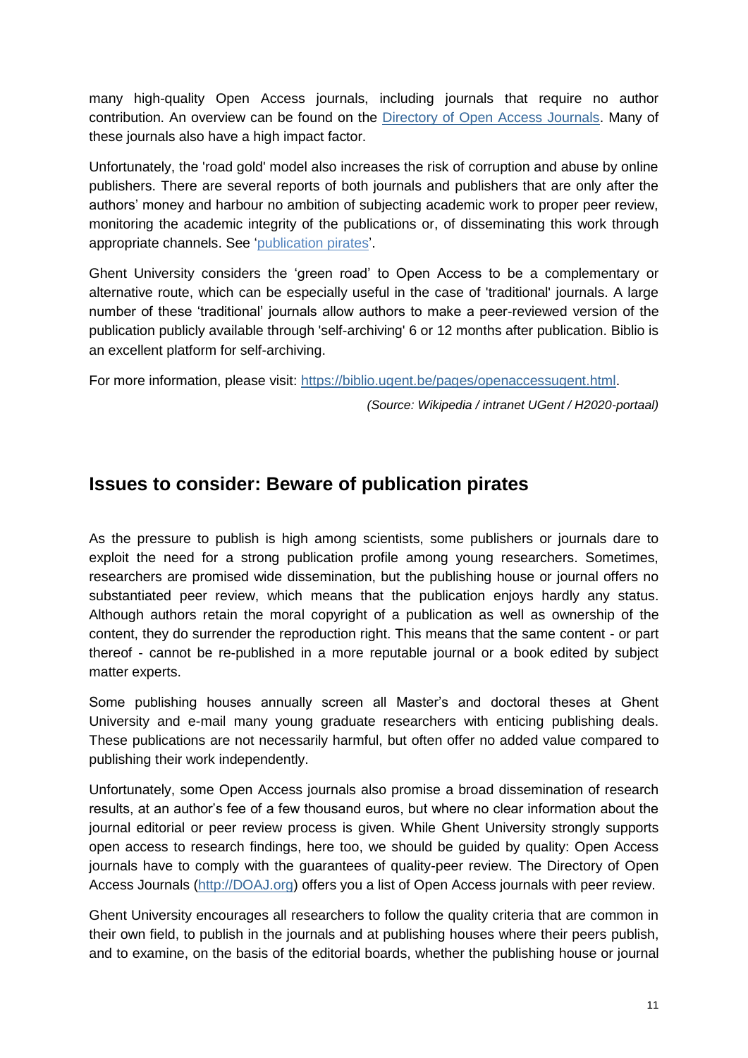many high-quality Open Access journals, including journals that require no author contribution. An overview can be found on the [Directory of Open Access Journals.](http://www.doaj.org/) Many of these journals also have a high impact factor.

Unfortunately, the 'road gold' model also increases the risk of corruption and abuse by online publishers. There are several reports of both journals and publishers that are only after the authors' money and harbour no ambition of subjecting academic work to proper peer review, monitoring the academic integrity of the publications or, of disseminating this work through appropriate channels. See ['publication pirates'](#page-10-0).

Ghent University considers the 'green road' to Open Access to be a complementary or alternative route, which can be especially useful in the case of 'traditional' journals. A large number of these 'traditional' journals allow authors to make a peer-reviewed version of the publication publicly available through 'self-archiving' 6 or 12 months after publication. Biblio is an excellent platform for self-archiving.

<span id="page-10-0"></span>For more information, please visit: [https://biblio.ugent.be/pages/openaccessugent.html.](https://biblio.ugent.be/pages/openaccessugent.html)

*(Source: Wikipedia / intranet UGent / H2020-portaal)*

## **Issues to consider: Beware of publication pirates**

As the pressure to publish is high among scientists, some publishers or journals dare to exploit the need for a strong publication profile among young researchers. Sometimes, researchers are promised wide dissemination, but the publishing house or journal offers no substantiated peer review, which means that the publication enjoys hardly any status. Although authors retain the moral copyright of a publication as well as ownership of the content, they do surrender the reproduction right. This means that the same content - or part thereof - cannot be re-published in a more reputable journal or a book edited by subject matter experts.

Some publishing houses annually screen all Master's and doctoral theses at Ghent University and e-mail many young graduate researchers with enticing publishing deals. These publications are not necessarily harmful, but often offer no added value compared to publishing their work independently.

Unfortunately, some Open Access journals also promise a broad dissemination of research results, at an author's fee of a few thousand euros, but where no clear information about the journal editorial or peer review process is given. While Ghent University strongly supports open access to research findings, here too, we should be guided by quality: Open Access journals have to comply with the guarantees of quality-peer review. The Directory of Open Access Journals [\(http://DOAJ.org\)](http://doaj.org/) offers you a list of Open Access journals with peer review.

Ghent University encourages all researchers to follow the quality criteria that are common in their own field, to publish in the journals and at publishing houses where their peers publish, and to examine, on the basis of the editorial boards, whether the publishing house or journal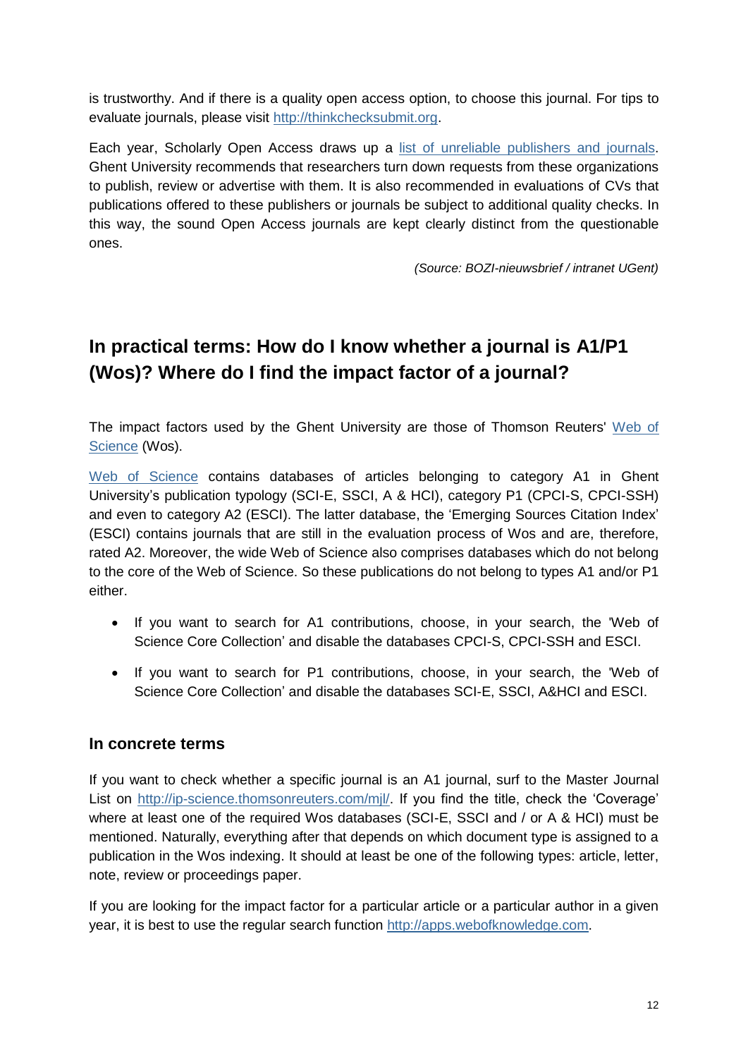is trustworthy. And if there is a quality open access option, to choose this journal. For tips to evaluate journals, please visit [http://thinkchecksubmit.org.](http://thinkchecksubmit.org/)

Each year, Scholarly Open Access draws up a [list of unreliable publishers and journals.](http://scholarlyoa.com/2014/01/02/list-of-predatory-publishers-2014/) Ghent University recommends that researchers turn down requests from these organizations to publish, review or advertise with them. It is also recommended in evaluations of CVs that publications offered to these publishers or journals be subject to additional quality checks. In this way, the sound Open Access journals are kept clearly distinct from the questionable ones.

*(Source: BOZI-nieuwsbrief / intranet UGent)*

# <span id="page-11-0"></span>**In practical terms: How do I know whether a journal is A1/P1 (Wos)? Where do I find the impact factor of a journal?**

The impact factors used by the Ghent University are those of Thomson Reuters' Web of [Science](http://apps.webofknowledge.com/) (Wos).

[Web of Science](http://apps.webofknowledge.com/) contains databases of articles belonging to category A1 in Ghent University's publication typology (SCI-E, SSCI, A & HCI), category P1 (CPCI-S, CPCI-SSH) and even to category A2 (ESCI). The latter database, the 'Emerging Sources Citation Index' (ESCI) contains journals that are still in the evaluation process of Wos and are, therefore, rated A2. Moreover, the wide Web of Science also comprises databases which do not belong to the core of the Web of Science. So these publications do not belong to types A1 and/or P1 either.

- If you want to search for A1 contributions, choose, in your search, the 'Web of Science Core Collection' and disable the databases CPCI-S, CPCI-SSH and ESCI.
- If you want to search for P1 contributions, choose, in your search, the 'Web of Science Core Collection' and disable the databases SCI-E, SSCI, A&HCI and ESCI.

## <span id="page-11-1"></span>**In concrete terms**

If you want to check whether a specific journal is an A1 journal, surf to the Master Journal List on [http://ip-science.thomsonreuters.com/mjl/.](http://ip-science.thomsonreuters.com/mjl/) If you find the title, check the 'Coverage' where at least one of the required Wos databases (SCI-E, SSCI and / or A & HCI) must be mentioned. Naturally, everything after that depends on which document type is assigned to a publication in the Wos indexing. It should at least be one of the following types: article, letter, note, review or proceedings paper.

If you are looking for the impact factor for a particular article or a particular author in a given year, it is best to use the regular search function [http://apps.webofknowledge.com.](http://apps.webofknowledge.com/)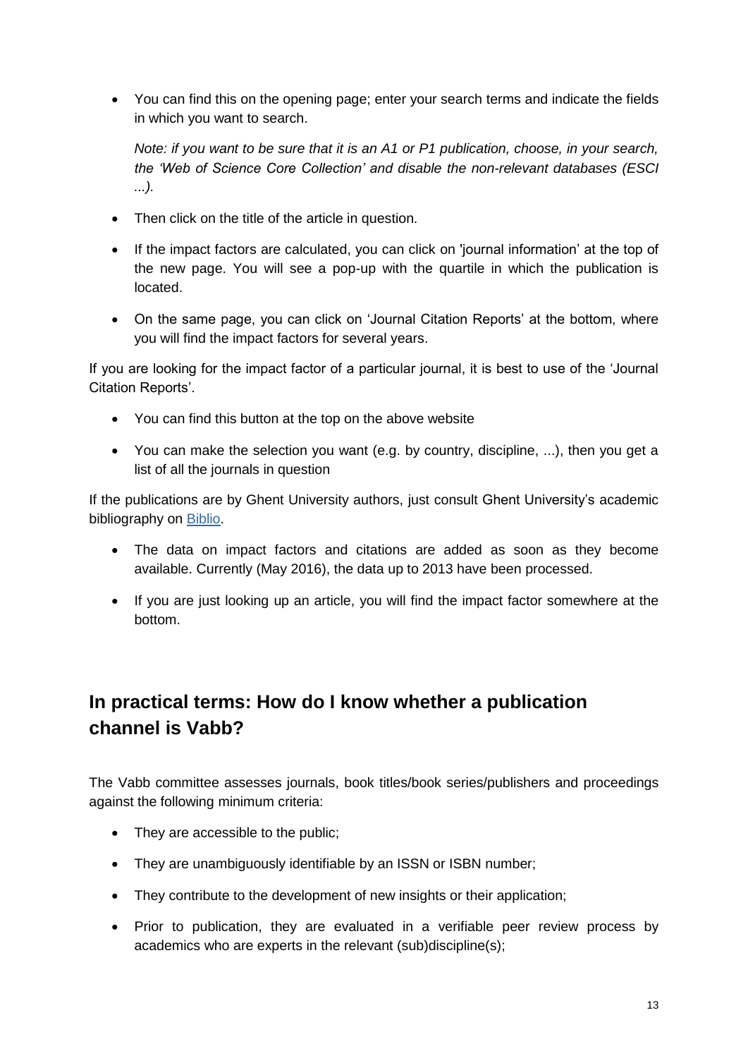You can find this on the opening page; enter your search terms and indicate the fields in which you want to search.

*Note: if you want to be sure that it is an A1 or P1 publication, choose, in your search, the 'Web of Science Core Collection' and disable the non-relevant databases (ESCI ...).*

- Then click on the title of the article in question.
- If the impact factors are calculated, you can click on 'journal information' at the top of the new page. You will see a pop-up with the quartile in which the publication is located.
- On the same page, you can click on 'Journal Citation Reports' at the bottom, where you will find the impact factors for several years.

If you are looking for the impact factor of a particular journal, it is best to use of the 'Journal Citation Reports'.

- You can find this button at the top on the above website
- You can make the selection you want (e.g. by country, discipline, ...), then you get a list of all the journals in question

If the publications are by Ghent University authors, just consult Ghent University's academic bibliography on [Biblio.](http://biblio.ugent.be/)

- The data on impact factors and citations are added as soon as they become available. Currently (May 2016), the data up to 2013 have been processed.
- <span id="page-12-0"></span> If you are just looking up an article, you will find the impact factor somewhere at the bottom.

# **In practical terms: How do I know whether a publication channel is Vabb?**

The Vabb committee assesses journals, book titles/book series/publishers and proceedings against the following minimum criteria:

- They are accessible to the public;
- They are unambiguously identifiable by an ISSN or ISBN number;
- They contribute to the development of new insights or their application;
- Prior to publication, they are evaluated in a verifiable peer review process by academics who are experts in the relevant (sub)discipline(s);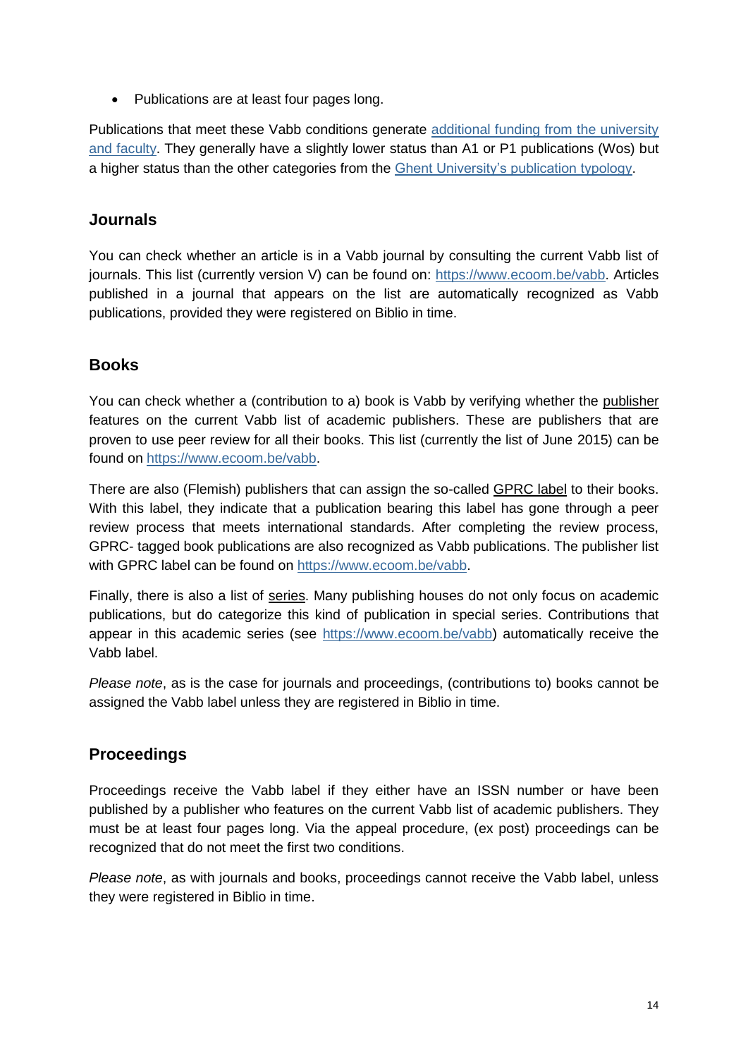• Publications are at least four pages long.

Publications that meet these Vabb conditions generate [additional funding from the university](#page-6-0)  [and faculty.](#page-6-0) They generally have a slightly lower status than A1 or P1 publications (Wos) but a higher status than the other categories from the [Ghent University's publication typology.](#page-2-3)

## <span id="page-13-0"></span>**Journals**

You can check whether an article is in a Vabb journal by consulting the current Vabb list of journals. This list (currently version V) can be found on: [https://www.ecoom.be/vabb.](https://www.ecoom.be/vabb) Articles published in a journal that appears on the list are automatically recognized as Vabb publications, provided they were registered on Biblio in time.

## **Books**

You can check whether a (contribution to a) book is Vabb by verifying whether the publisher features on the current Vabb list of academic publishers. These are publishers that are proven to use peer review for all their books. This list (currently the list of June 2015) can be found on [https://www.ecoom.be/vabb.](https://www.ecoom.be/vabb)

There are also (Flemish) publishers that can assign the so-called GPRC label to their books. With this label, they indicate that a publication bearing this label has gone through a peer review process that meets international standards. After completing the review process, GPRC- tagged book publications are also recognized as Vabb publications. The publisher list with GPRC label can be found on [https://www.ecoom.be/vabb.](https://www.ecoom.be/vabb)

Finally, there is also a list of series. Many publishing houses do not only focus on academic publications, but do categorize this kind of publication in special series. Contributions that appear in this academic series (see [https://www.ecoom.be/vabb\)](https://www.ecoom.be/vabb) automatically receive the Vabb label.

*Please note*, as is the case for journals and proceedings, (contributions to) books cannot be assigned the Vabb label unless they are registered in Biblio in time.

## <span id="page-13-1"></span>**Proceedings**

Proceedings receive the Vabb label if they either have an ISSN number or have been published by a publisher who features on the current Vabb list of academic publishers. They must be at least four pages long. Via the appeal procedure, (ex post) proceedings can be recognized that do not meet the first two conditions.

*Please note*, as with journals and books, proceedings cannot receive the Vabb label, unless they were registered in Biblio in time.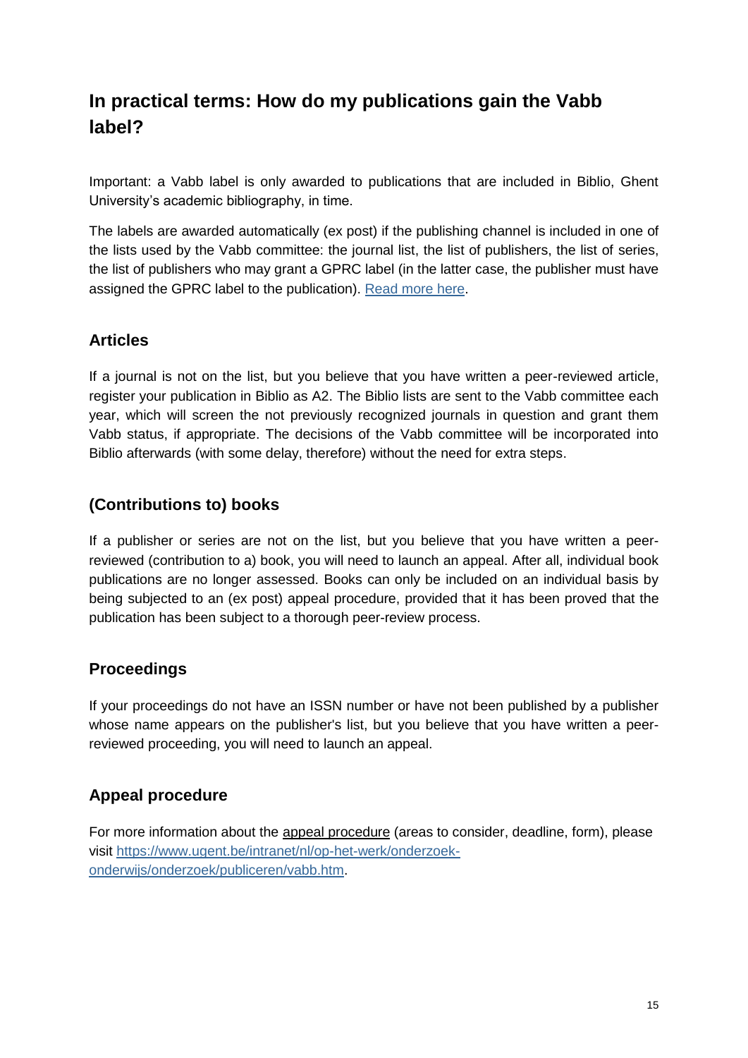# <span id="page-14-0"></span>**In practical terms: How do my publications gain the Vabb label?**

Important: a Vabb label is only awarded to publications that are included in Biblio, Ghent University's academic bibliography, in time.

The labels are awarded automatically (ex post) if the publishing channel is included in one of the lists used by the Vabb committee: the journal list, the list of publishers, the list of series, the list of publishers who may grant a GPRC label (in the latter case, the publisher must have assigned the GPRC label to the publication). [Read more here.](#page-12-0)

## <span id="page-14-1"></span>**Articles**

If a journal is not on the list, but you believe that you have written a peer-reviewed article, register your publication in Biblio as A2. The Biblio lists are sent to the Vabb committee each year, which will screen the not previously recognized journals in question and grant them Vabb status, if appropriate. The decisions of the Vabb committee will be incorporated into Biblio afterwards (with some delay, therefore) without the need for extra steps.

## <span id="page-14-2"></span>**(Contributions to) books**

If a publisher or series are not on the list, but you believe that you have written a peerreviewed (contribution to a) book, you will need to launch an appeal. After all, individual book publications are no longer assessed. Books can only be included on an individual basis by being subjected to an (ex post) appeal procedure, provided that it has been proved that the publication has been subject to a thorough peer-review process.

## <span id="page-14-3"></span>**Proceedings**

If your proceedings do not have an ISSN number or have not been published by a publisher whose name appears on the publisher's list, but you believe that you have written a peerreviewed proceeding, you will need to launch an appeal.

## <span id="page-14-4"></span>**Appeal procedure**

For more information about the appeal procedure (areas to consider, deadline, form), please visit [https://www.ugent.be/intranet/nl/op-het-werk/onderzoek](https://www.ugent.be/intranet/nl/op-het-werk/onderzoek-onderwijs/onderzoek/publiceren/vabb.htm)[onderwijs/onderzoek/publiceren/vabb.htm.](https://www.ugent.be/intranet/nl/op-het-werk/onderzoek-onderwijs/onderzoek/publiceren/vabb.htm)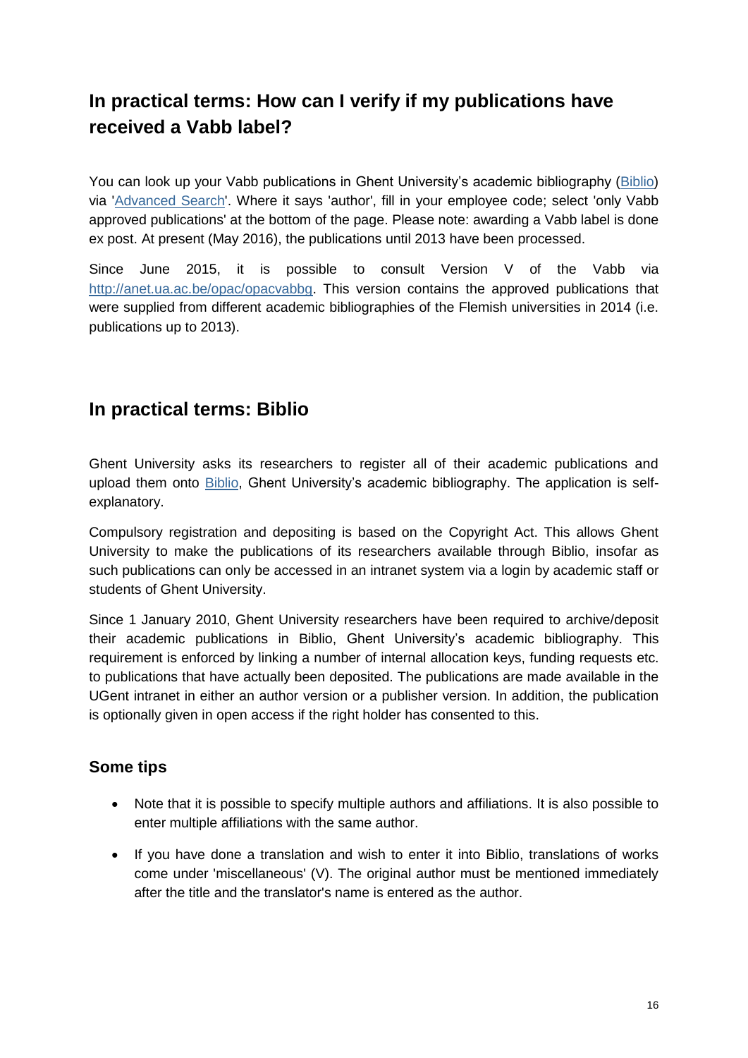# <span id="page-15-0"></span>**In practical terms: How can I verify if my publications have received a Vabb label?**

You can look up your Vabb publications in Ghent University's academic bibliography [\(Biblio\)](http://biblio.ugent.be/) via ['Advanced Search'](https://biblio.ugent.be/advanced-search). Where it says 'author', fill in your employee code; select 'only Vabb approved publications' at the bottom of the page. Please note: awarding a Vabb label is done ex post. At present (May 2016), the publications until 2013 have been processed.

Since June 2015, it is possible to consult Version V of the Vabb via [http://anet.ua.ac.be/opac/opacvabbg.](http://anet.ua.ac.be/opac/opacvabbg) This version contains the approved publications that were supplied from different academic bibliographies of the Flemish universities in 2014 (i.e. publications up to 2013).

# <span id="page-15-1"></span>**In practical terms: Biblio**

Ghent University asks its researchers to register all of their academic publications and upload them onto **Biblio**, Ghent University's academic bibliography. The application is selfexplanatory.

Compulsory registration and depositing is based on the Copyright Act. This allows Ghent University to make the publications of its researchers available through Biblio, insofar as such publications can only be accessed in an intranet system via a login by academic staff or students of Ghent University.

Since 1 January 2010, Ghent University researchers have been required to archive/deposit their academic publications in Biblio, Ghent University's academic bibliography. This requirement is enforced by linking a number of internal allocation keys, funding requests etc. to publications that have actually been deposited. The publications are made available in the UGent intranet in either an author version or a publisher version. In addition, the publication is optionally given in open access if the right holder has consented to this.

## <span id="page-15-2"></span>**Some tips**

- Note that it is possible to specify multiple authors and affiliations. It is also possible to enter multiple affiliations with the same author.
- If you have done a translation and wish to enter it into Biblio, translations of works come under 'miscellaneous' (V). The original author must be mentioned immediately after the title and the translator's name is entered as the author.